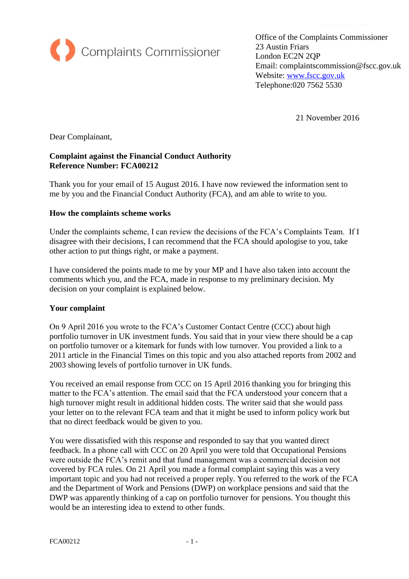

Office of the Complaints Commissioner 23 Austin Friars London EC2N 2QP Email: complaintscommission@fscc.gov.uk Website: [www.fscc.gov.uk](http://www.fscc.gov.uk/) Telephone:020 7562 5530

21 November 2016

Dear Complainant,

## **Complaint against the Financial Conduct Authority Reference Number: FCA00212**

Thank you for your email of 15 August 2016. I have now reviewed the information sent to me by you and the Financial Conduct Authority (FCA), and am able to write to you.

#### **How the complaints scheme works**

Under the complaints scheme, I can review the decisions of the FCA's Complaints Team. If I disagree with their decisions, I can recommend that the FCA should apologise to you, take other action to put things right, or make a payment.

I have considered the points made to me by your MP and I have also taken into account the comments which you, and the FCA, made in response to my preliminary decision. My decision on your complaint is explained below.

### **Your complaint**

On 9 April 2016 you wrote to the FCA's Customer Contact Centre (CCC) about high portfolio turnover in UK investment funds. You said that in your view there should be a cap on portfolio turnover or a kitemark for funds with low turnover. You provided a link to a 2011 article in the Financial Times on this topic and you also attached reports from 2002 and 2003 showing levels of portfolio turnover in UK funds.

You received an email response from CCC on 15 April 2016 thanking you for bringing this matter to the FCA's attention. The email said that the FCA understood your concern that a high turnover might result in additional hidden costs. The writer said that she would pass your letter on to the relevant FCA team and that it might be used to inform policy work but that no direct feedback would be given to you.

You were dissatisfied with this response and responded to say that you wanted direct feedback. In a phone call with CCC on 20 April you were told that Occupational Pensions were outside the FCA's remit and that fund management was a commercial decision not covered by FCA rules. On 21 April you made a formal complaint saying this was a very important topic and you had not received a proper reply. You referred to the work of the FCA and the Department of Work and Pensions (DWP) on workplace pensions and said that the DWP was apparently thinking of a cap on portfolio turnover for pensions. You thought this would be an interesting idea to extend to other funds.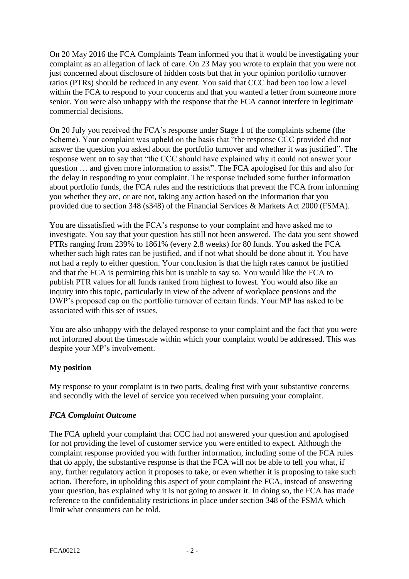On 20 May 2016 the FCA Complaints Team informed you that it would be investigating your complaint as an allegation of lack of care. On 23 May you wrote to explain that you were not just concerned about disclosure of hidden costs but that in your opinion portfolio turnover ratios (PTRs) should be reduced in any event. You said that CCC had been too low a level within the FCA to respond to your concerns and that you wanted a letter from someone more senior. You were also unhappy with the response that the FCA cannot interfere in legitimate commercial decisions.

On 20 July you received the FCA's response under Stage 1 of the complaints scheme (the Scheme). Your complaint was upheld on the basis that "the response CCC provided did not answer the question you asked about the portfolio turnover and whether it was justified". The response went on to say that "the CCC should have explained why it could not answer your question … and given more information to assist". The FCA apologised for this and also for the delay in responding to your complaint. The response included some further information about portfolio funds, the FCA rules and the restrictions that prevent the FCA from informing you whether they are, or are not, taking any action based on the information that you provided due to section 348 (s348) of the Financial Services & Markets Act 2000 (FSMA).

You are dissatisfied with the FCA's response to your complaint and have asked me to investigate. You say that your question has still not been answered. The data you sent showed PTRs ranging from 239% to 1861% (every 2.8 weeks) for 80 funds. You asked the FCA whether such high rates can be justified, and if not what should be done about it. You have not had a reply to either question. Your conclusion is that the high rates cannot be justified and that the FCA is permitting this but is unable to say so. You would like the FCA to publish PTR values for all funds ranked from highest to lowest. You would also like an inquiry into this topic, particularly in view of the advent of workplace pensions and the DWP's proposed cap on the portfolio turnover of certain funds. Your MP has asked to be associated with this set of issues.

You are also unhappy with the delayed response to your complaint and the fact that you were not informed about the timescale within which your complaint would be addressed. This was despite your MP's involvement.

### **My position**

My response to your complaint is in two parts, dealing first with your substantive concerns and secondly with the level of service you received when pursuing your complaint.

### *FCA Complaint Outcome*

The FCA upheld your complaint that CCC had not answered your question and apologised for not providing the level of customer service you were entitled to expect. Although the complaint response provided you with further information, including some of the FCA rules that do apply, the substantive response is that the FCA will not be able to tell you what, if any, further regulatory action it proposes to take, or even whether it is proposing to take such action. Therefore, in upholding this aspect of your complaint the FCA, instead of answering your question, has explained why it is not going to answer it. In doing so, the FCA has made reference to the confidentiality restrictions in place under section 348 of the FSMA which limit what consumers can be told.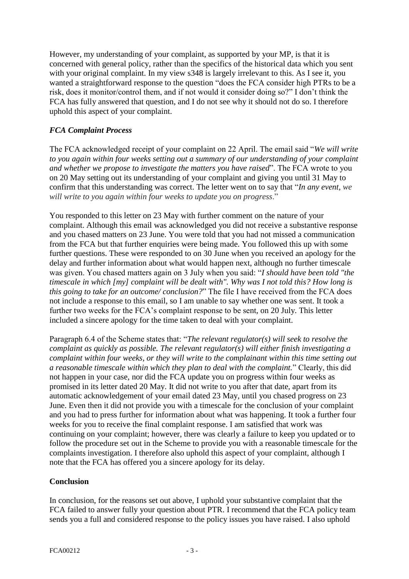However, my understanding of your complaint, as supported by your MP, is that it is concerned with general policy, rather than the specifics of the historical data which you sent with your original complaint. In my view s348 is largely irrelevant to this. As I see it, you wanted a straightforward response to the question "does the FCA consider high PTRs to be a risk, does it monitor/control them, and if not would it consider doing so?" I don't think the FCA has fully answered that question, and I do not see why it should not do so. I therefore uphold this aspect of your complaint.

# *FCA Complaint Process*

The FCA acknowledged receipt of your complaint on 22 April. The email said "*We will write to you again within four weeks setting out a summary of our understanding of your complaint and whether we propose to investigate the matters you have raised*". The FCA wrote to you on 20 May setting out its understanding of your complaint and giving you until 31 May to confirm that this understanding was correct. The letter went on to say that "*In any event, we will write to you again within four weeks to update you on progress*."

You responded to this letter on 23 May with further comment on the nature of your complaint. Although this email was acknowledged you did not receive a substantive response and you chased matters on 23 June. You were told that you had not missed a communication from the FCA but that further enquiries were being made. You followed this up with some further questions. These were responded to on 30 June when you received an apology for the delay and further information about what would happen next, although no further timescale was given. You chased matters again on 3 July when you said: "*I should have been told "the timescale in which [my] complaint will be dealt with". Why was I not told this? How long is this going to take for an outcome/ conclusion?*" The file I have received from the FCA does not include a response to this email, so I am unable to say whether one was sent. It took a further two weeks for the FCA's complaint response to be sent, on 20 July. This letter included a sincere apology for the time taken to deal with your complaint.

Paragraph 6.4 of the Scheme states that: "*The relevant regulator(s) will seek to resolve the complaint as quickly as possible. The relevant regulator(s) will either finish investigating a complaint within four weeks, or they will write to the complainant within this time setting out a reasonable timescale within which they plan to deal with the complaint.*" Clearly, this did not happen in your case, nor did the FCA update you on progress within four weeks as promised in its letter dated 20 May. It did not write to you after that date, apart from its automatic acknowledgement of your email dated 23 May, until you chased progress on 23 June. Even then it did not provide you with a timescale for the conclusion of your complaint and you had to press further for information about what was happening. It took a further four weeks for you to receive the final complaint response. I am satisfied that work was continuing on your complaint; however, there was clearly a failure to keep you updated or to follow the procedure set out in the Scheme to provide you with a reasonable timescale for the complaints investigation. I therefore also uphold this aspect of your complaint, although I note that the FCA has offered you a sincere apology for its delay.

### **Conclusion**

In conclusion, for the reasons set out above, I uphold your substantive complaint that the FCA failed to answer fully your question about PTR. I recommend that the FCA policy team sends you a full and considered response to the policy issues you have raised. I also uphold